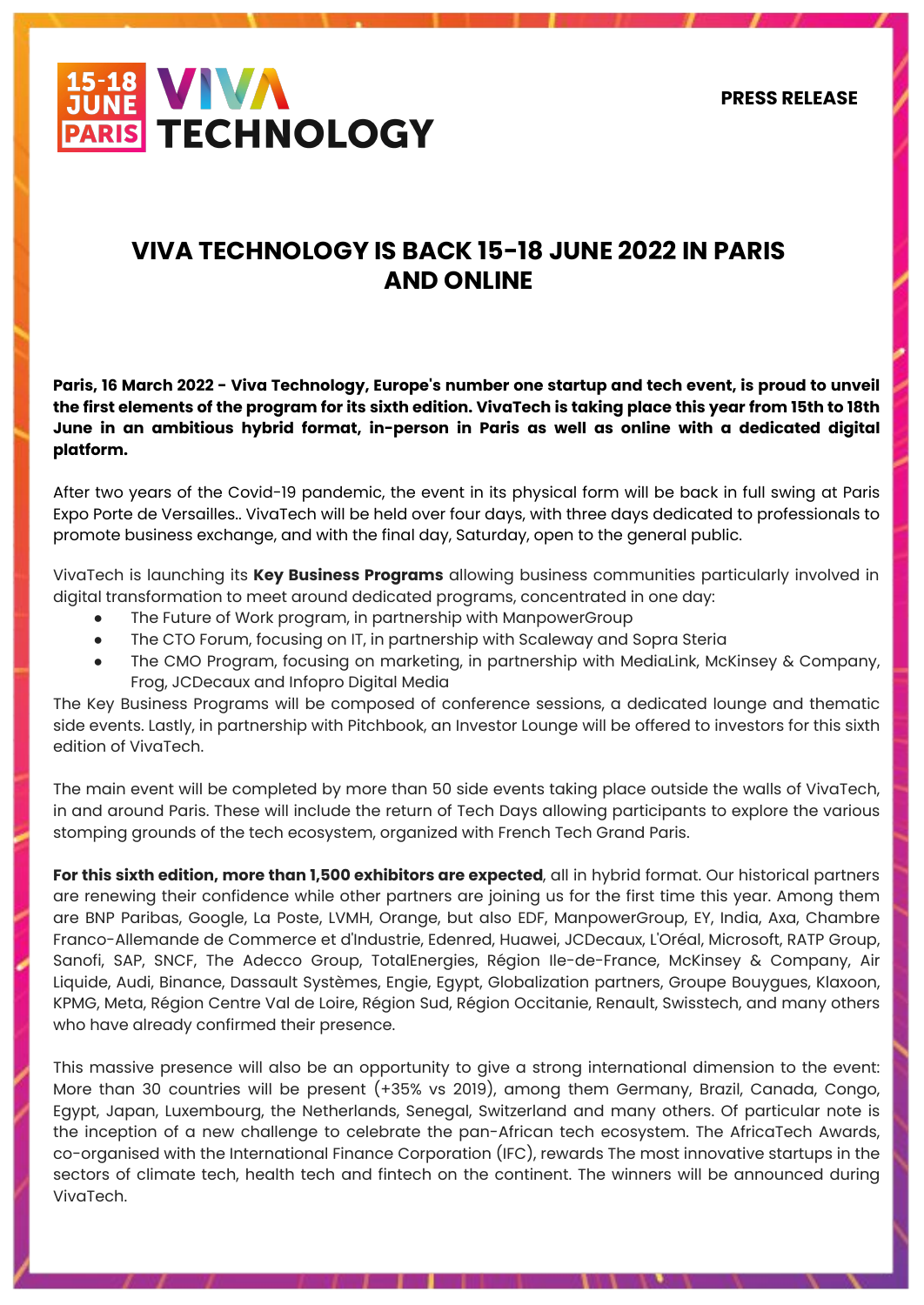**PRESS RELEASE**



# **VIVA TECHNOLOGY IS BACK 15-18 JUNE 2022 IN PARIS AND ONLINE**

**Paris, 16 March 2022 - Viva Technology, Europe's number one startup and tech event, is proud to unveil the first elements of the program for its sixth edition. VivaTech is taking place this year from 15th to 18th June in an ambitious hybrid format, in-person in Paris as well as online with a dedicated digital platform.**

After two years of the Covid-19 pandemic, the event in its physical form will be back in full swing at Paris Expo Porte de Versailles.. VivaTech will be held over four days, with three days dedicated to professionals to promote business exchange, and with the final day, Saturday, open to the general public.

VivaTech is launching its **Key Business Programs** allowing business communities particularly involved in digital transformation to meet around dedicated programs, concentrated in one day:

- The Future of Work program, in partnership with ManpowerGroup
- The CTO Forum, focusing on IT, in partnership with Scaleway and Sopra Steria
- The CMO Program, focusing on marketing, in partnership with MediaLink, McKinsey & Company, Frog, JCDecaux and Infopro Digital Media

The Key Business Programs will be composed of conference sessions, a dedicated lounge and thematic side events. Lastly, in partnership with Pitchbook, an Investor Lounge will be offered to investors for this sixth edition of VivaTech.

The main event will be completed by more than 50 side events taking place outside the walls of VivaTech, in and around Paris. These will include the return of Tech Days allowing participants to explore the various stomping grounds of the tech ecosystem, organized with French Tech Grand Paris.

**For this sixth edition, more than 1,500 exhibitors are expected**, all in hybrid format. Our historical partners are renewing their confidence while other partners are joining us for the first time this year. Among them are BNP Paribas, Google, La Poste, LVMH, Orange, but also EDF, ManpowerGroup, EY, India, Axa, Chambre Franco-Allemande de Commerce et d'Industrie, Edenred, Huawei, JCDecaux, L'Oréal, Microsoft, RATP Group, Sanofi, SAP, SNCF, The Adecco Group, TotalEnergies, Région Ile-de-France, McKinsey & Company, Air Liquide, Audi, Binance, Dassault Systèmes, Engie, Egypt, Globalization partners, Groupe Bouygues, Klaxoon, KPMG, Meta, Région Centre Val de Loire, Région Sud, Région Occitanie, Renault, Swisstech, and many others who have already confirmed their presence.

This massive presence will also be an opportunity to give a strong international dimension to the event: More than 30 countries will be present (+35% vs 2019), among them Germany, Brazil, Canada, Congo, Egypt, Japan, Luxembourg, the Netherlands, Senegal, Switzerland and many others. Of particular note is the inception of a new challenge to celebrate the pan-African tech ecosystem. The AfricaTech Awards, co-organised with the International Finance Corporation (IFC), rewards The most innovative startups in the sectors of climate tech, health tech and fintech on the continent. The winners will be announced during VivaTech.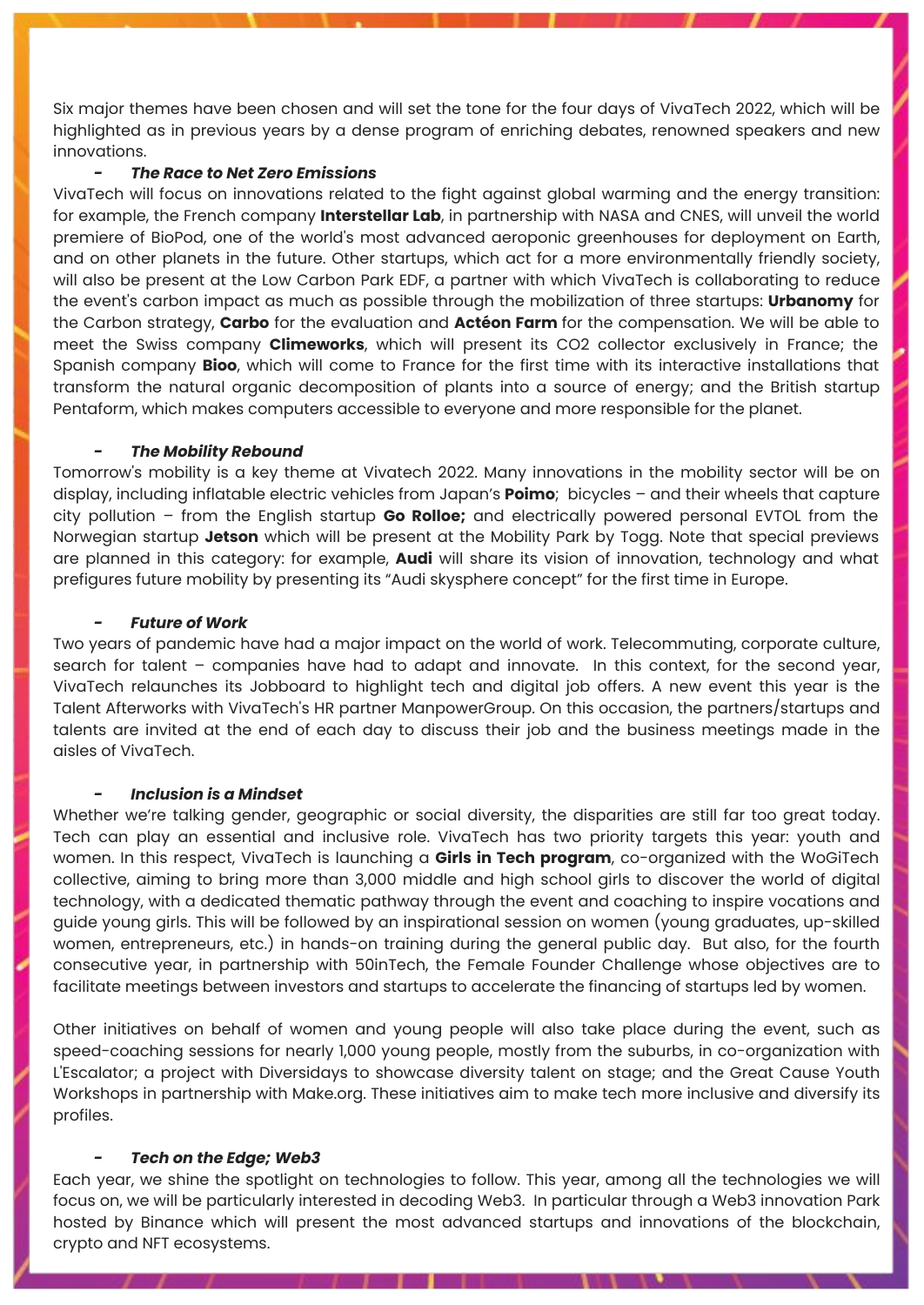Six major themes have been chosen and will set the tone for the four days of VivaTech 2022, which will be highlighted as in previous years by a dense program of enriching debates, renowned speakers and new innovations.

## *- The Race to Net Zero Emissions*

VivaTech will focus on innovations related to the fight against global warming and the energy transition: for example, the French company **Interstellar Lab**, in partnership with NASA and CNES, will unveil the world premiere of BioPod, one of the world's most advanced aeroponic greenhouses for deployment on Earth, and on other planets in the future. Other startups, which act for a more environmentally friendly society, will also be present at the Low Carbon Park EDF, a partner with which VivaTech is collaborating to reduce the event's carbon impact as much as possible through the mobilization of three startups: **Urbanomy** for the Carbon strategy, **Carbo** for the evaluation and **Actéon Farm** for the compensation. We will be able to meet the Swiss company **Climeworks**, which will present its CO2 collector exclusively in France; the Spanish company **Bioo**, which will come to France for the first time with its interactive installations that transform the natural organic decomposition of plants into a source of energy; and the British startup Pentaform, which makes computers accessible to everyone and more responsible for the planet.

## *- The Mobility Rebound*

Tomorrow's mobility is a key theme at Vivatech 2022. Many innovations in the mobility sector will be on display, including inflatable electric vehicles from Japan's **Poimo**; bicycles – and their wheels that capture city pollution – from the English startup **Go Rolloe;** and electrically powered personal EVTOL from the Norwegian startup **Jetson** which will be present at the Mobility Park by Togg. Note that special previews are planned in this category: for example, **Audi** will share its vision of innovation, technology and what prefigures future mobility by presenting its "Audi skysphere concept" for the first time in Europe.

#### *- Future of Work*

Two years of pandemic have had a major impact on the world of work. Telecommuting, corporate culture, search for talent – companies have had to adapt and innovate. In this context, for the second year, VivaTech relaunches its Jobboard to highlight tech and digital job offers. A new event this year is the Talent Afterworks with VivaTech's HR partner ManpowerGroup. On this occasion, the partners/startups and talents are invited at the end of each day to discuss their job and the business meetings made in the aisles of VivaTech.

### *- Inclusion is a Mindset*

Whether we're talking gender, geographic or social diversity, the disparities are still far too great today. Tech can play an essential and inclusive role. VivaTech has two priority targets this year: youth and women. In this respect, VivaTech is launching a **Girls in Tech program**, co-organized with the WoGiTech collective, aiming to bring more than 3,000 middle and high school girls to discover the world of digital technology, with a dedicated thematic pathway through the event and coaching to inspire vocations and guide young girls. This will be followed by an inspirational session on women (young graduates, up-skilled women, entrepreneurs, etc.) in hands-on training during the general public day. But also, for the fourth consecutive year, in partnership with 50inTech, the Female Founder Challenge whose objectives are to facilitate meetings between investors and startups to accelerate the financing of startups led by women.

Other initiatives on behalf of women and young people will also take place during the event, such as speed-coaching sessions for nearly 1,000 young people, mostly from the suburbs, in co-organization with L'Escalator; a project with Diversidays to showcase diversity talent on stage; and the Great Cause Youth Workshops in partnership with Make.org. These initiatives aim to make tech more inclusive and diversify its profiles.

#### *- Tech on the Edge; Web3*

Each year, we shine the spotlight on technologies to follow. This year, among all the technologies we will focus on, we will be particularly interested in decoding Web3. In particular through a Web3 innovation Park hosted by Binance which will present the most advanced startups and innovations of the blockchain, crypto and NFT ecosystems.

en alle della contratta della contratta della contratta della contratta della contratta della contratta della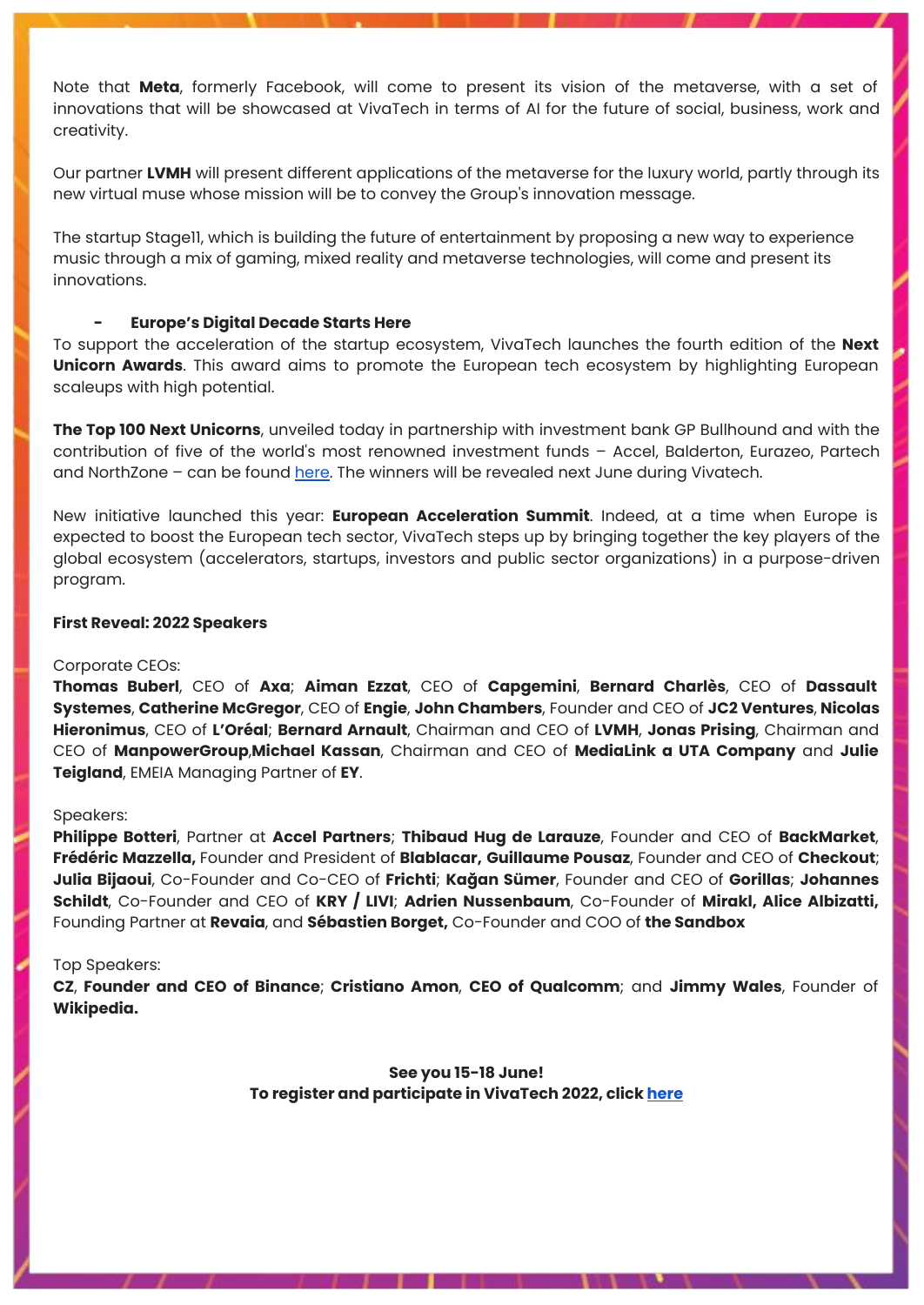Note that **Meta**, formerly Facebook, will come to present its vision of the metaverse, with a set of innovations that will be showcased at VivaTech in terms of AI for the future of social, business, work and creativity.

Our partner **LVMH** will present different applications of the metaverse for the luxury world, partly through its new virtual muse whose mission will be to convey the Group's innovation message.

The startup Stage11, which is building the future of entertainment by proposing a new way to experience music through a mix of gaming, mixed reality and metaverse technologies, will come and present its innovations.

## **- Europe's Digital Decade Starts Here**

To support the acceleration of the startup ecosystem, VivaTech launches the fourth edition of the **Next Unicorn Awards**. This award aims to promote the European tech ecosystem by highlighting European scaleups with high potential.

**The Top 100 Next Unicorns**, unveiled today in partnership with investment bank GP Bullhound and with the contribution of five of the world's most renowned investment funds – Accel, Balderton, Eurazeo, Partech and NorthZone – can be found [here](https://vivatechnology.com/media/press-releases/viva-technology-publishes-its-annual-list-of-top-100-next-unicorns). The winners will be revealed next June during Vivatech.

New initiative launched this year: **European Acceleration Summit**. Indeed, at a time when Europe is expected to boost the European tech sector, VivaTech steps up by bringing together the key players of the global ecosystem (accelerators, startups, investors and public sector organizations) in a purpose-driven program.

## **First Reveal: 2022 Speakers**

#### Corporate CEOs:

**Thomas Buberl**, CEO of **Axa**; **Aiman Ezzat**, CEO of **Capgemini**, **Bernard Charlès**, CEO of **Dassault Systemes**, **Catherine McGregor**, CEO of **Engie**, **John Chambers**, Founder and CEO of **JC2 Ventures**, **Nicolas Hieronimus**, CEO of **L'Oréal**; **Bernard Arnault**, Chairman and CEO of **LVMH**, **Jonas Prising**, Chairman and CEO of **ManpowerGroup**,**Michael Kassan**, Chairman and CEO of **MediaLink a UTA Company** and **Julie Teigland**, EMEIA Managing Partner of **EY**.

## Speakers:

**Philippe Botteri**, Partner at **Accel Partners**; **Thibaud Hug de Larauze**, Founder and CEO of **BackMarket**, **Frédéric Mazzella,** Founder and President of **Blablacar, Guillaume Pousaz**, Founder and CEO of **Checkout**; **Julia Bijaoui**, Co-Founder and Co-CEO of **Frichti**; **Kağan Sümer**, Founder and CEO of **Gorillas**; **Johannes Schildt**, Co-Founder and CEO of **KRY / LIVI**; **Adrien Nussenbaum**, Co-Founder of **Mirakl, Alice Albizatti,** Founding Partner at **Revaia**, and **Sébastien Borget,** Co-Founder and COO of **the Sandbox**

#### Top Speakers:

**CZ**, **Founder and CEO of Binance**; **Cristiano Amon**, **CEO of Qualcomm**; and **Jimmy Wales**, Founder of **Wikipedia.**

> **See you 15-18 June! To register and participate in VivaTech 2022, click [here](https://subscribe.vivatechnology.com/media)**